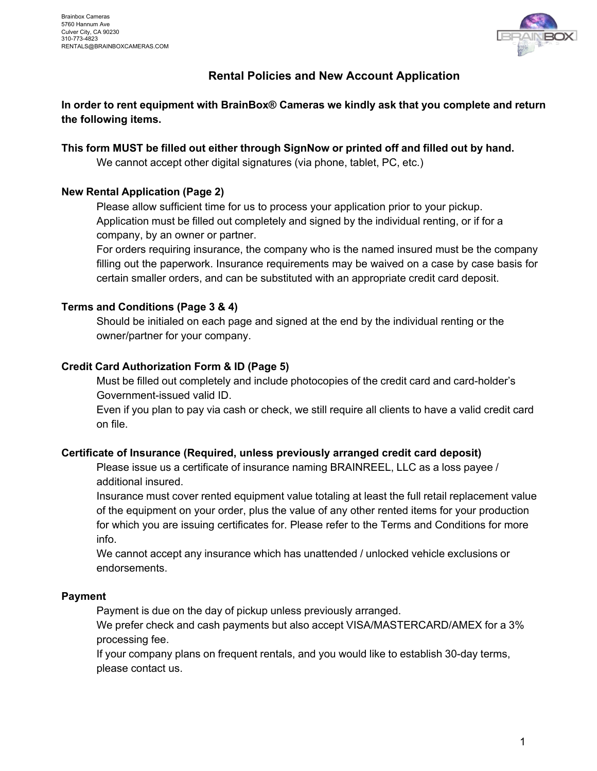

## **Rental Policies and New Account Application**

**In order to rent equipment with BrainBox® Cameras we kindly ask that you complete and return the following items.**

**This form MUST be filled out either through SignNow or printed off and filled out by hand.**

We cannot accept other digital signatures (via phone, tablet, PC, etc.)

## **New Rental Application (Page 2)**

Please allow sufficient time for us to process your application prior to your pickup. Application must be filled out completely and signed by the individual renting, or if for a company, by an owner or partner.

For orders requiring insurance, the company who is the named insured must be the company filling out the paperwork. Insurance requirements may be waived on a case by case basis for certain smaller orders, and can be substituted with an appropriate credit card deposit.

## **Terms and Conditions (Page 3 & 4)**

Should be initialed on each page and signed at the end by the individual renting or the owner/partner for your company.

## **Credit Card Authorization Form & ID (Page 5)**

Must be filled out completely and include photocopies of the credit card and card-holder's Government-issued valid ID.

Even if you plan to pay via cash or check, we still require all clients to have a valid credit card on file.

## **Certificate of Insurance (Required, unless previously arranged credit card deposit)**

Please issue us a certificate of insurance naming BRAINREEL, LLC as a loss payee / additional insured.

Insurance must cover rented equipment value totaling at least the full retail replacement value of the equipment on your order, plus the value of any other rented items for your production for which you are issuing certificates for. Please refer to the Terms and Conditions for more info.

We cannot accept any insurance which has unattended / unlocked vehicle exclusions or endorsements.

## **Payment**

Payment is due on the day of pickup unless previously arranged.

We prefer check and cash payments but also accept VISA/MASTERCARD/AMEX for a 3% processing fee.

If your company plans on frequent rentals, and you would like to establish 30-day terms, please contact us.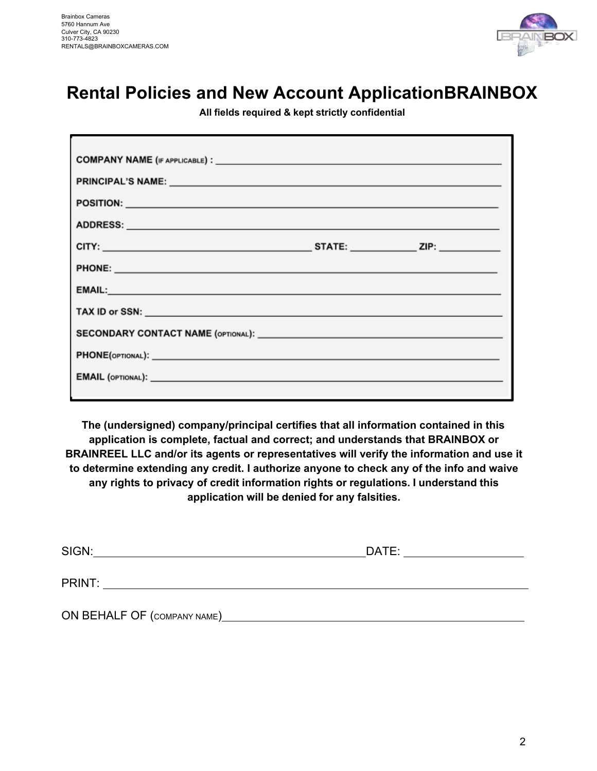

## **Rental Policies and New Account Application BRAINBOX**

**All fields required & kept strictly confidential**

| PRINCIPAL'S NAME: Web and the contract of the contract of the contract of the contract of the contract of the contract of the contract of the contract of the contract of the contract of the contract of the contract of the |  |
|-------------------------------------------------------------------------------------------------------------------------------------------------------------------------------------------------------------------------------|--|
|                                                                                                                                                                                                                               |  |
| ADDRESS: ADDRESS:                                                                                                                                                                                                             |  |
|                                                                                                                                                                                                                               |  |
|                                                                                                                                                                                                                               |  |
| <b>EMAIL: EMAIL: EMAIL: EMAIL: EMAIL: EMAIL: EMAIL: EMAIL: EMAIL: EMAIL: EMAIL: EMAIL: EMAIL: EMAIL: EMAIL: EMAIL: EMAIL: EMAIL: EMAIL: EMAIL: EMAIL: EMAIL: EMAIL: EMAIL: EMAIL</b>                                          |  |
|                                                                                                                                                                                                                               |  |
|                                                                                                                                                                                                                               |  |
|                                                                                                                                                                                                                               |  |
|                                                                                                                                                                                                                               |  |
|                                                                                                                                                                                                                               |  |

**The (undersigned) company/principal certifies that all information contained in this application is complete, factual and correct; and understands that BRAINBOX or BRAINREEL LLC and/or its agents or representatives will verify the information and use it to determine extending any credit. I authorize anyone to check any of the info and waive any rights to privacy of credit information rights or regulations. I understand this application will be denied for any falsities.**

| SIGN:                       | DATE: |  |
|-----------------------------|-------|--|
| PRINT:                      |       |  |
| ON BEHALF OF (COMPANY NAME) |       |  |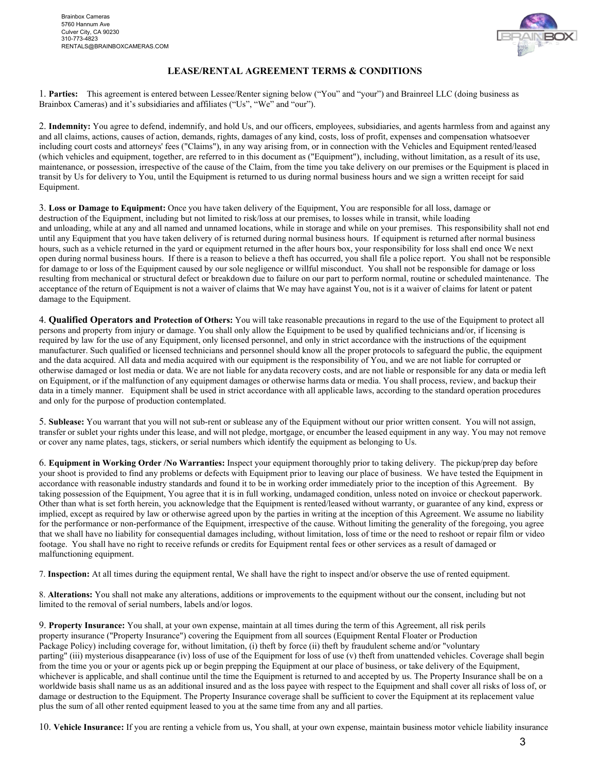

#### **LEASE/RENTAL AGREEMENT TERMS & CONDITIONS**

1. **Parties:** This agreement is entered between Lessee/Renter signing below ("You" and "your") and Brainreel LLC (doing business as Brainbox Cameras) and it's subsidiaries and affiliates ("Us", "We" and "our").

2. **Indemnity:** You agree to defend, indemnify, and hold Us, and our officers, employees, subsidiaries, and agents harmless from and against any and all claims, actions, causes of action, demands, rights, damages of any kind, costs, loss of profit, expenses and compensation whatsoever including court costs and attorneys' fees ("Claims"), in any way arising from, or in connection with the Vehicles and Equipment rented/leased (which vehicles and equipment, together, are referred to in this document as ("Equipment"), including, without limitation, as a result of its use, maintenance, or possession, irrespective of the cause of the Claim, from the time you take delivery on our premises or the Equipment is placed in transit by Us for delivery to You, until the Equipment is returned to us during normal business hours and we sign a written receipt for said Equipment.

3. **Loss or Damage to Equipment:** Once you have taken delivery of the Equipment, You are responsible for all loss, damage or destruction of the Equipment, including but not limited to risk/loss at our premises, to losses while in transit, while loading and unloading, while at any and all named and unnamed locations, while in storage and while on your premises. This responsibility shall not end until any Equipment that you have taken delivery of is returned during normal business hours. If equipment is returned after normal business hours, such as a vehicle returned in the yard or equipment returned in the after hours box, your responsibility for loss shall end once We next open during normal business hours. If there is a reason to believe a theft has occurred, you shall file a police report. You shall not be responsible for damage to or loss of the Equipment caused by our sole negligence or willful misconduct. You shall not be responsible for damage or loss resulting from mechanical or structural defect or breakdown due to failure on our part to perform normal, routine or scheduled maintenance.The acceptance of the return of Equipment is not a waiver of claims that We may have against You, not is it a waiver of claims for latent or patent damage to the Equipment.

4. **Qualified Operators and Protection of Others:** You will take reasonable precautions in regard to the use of the Equipment to protect all persons and property from injury or damage. You shall only allow the Equipment to be used by qualified technicians and/or, if licensing is required by law for the use of any Equipment, only licensed personnel, and only in strict accordance with the instructions of the equipment manufacturer. Such qualified or licensed technicians and personnel should know all the proper protocols to safeguard the public, the equipment and the data acquired. All data and media acquired with our equipment is the responsibility of You, and we are not liable for corrupted or otherwise damaged or lost media or data. We are not liable for any data recovery costs, and are not liable or responsible for any data or media left on Equipment, or if the malfunction of any equipment damages or otherwise harms data or media. You shall process, review, and backup their data in a timely manner. Equipment shall be used in strict accordance with all applicable laws, according to the standard operation procedures and only for the purpose of production contemplated.

5. **Sublease:** You warrant that you will not sub-rent or sublease any of the Equipment without our prior written consent. You will not assign, transfer or sublet your rights under this lease, and will not pledge, mortgage, or encumber the leased equipment in any way. You may not remove or cover any name plates, tags, stickers, or serial numbers which identify the equipment as belonging to Us.

6. **Equipment in Working Order /No Warranties:** Inspect your equipment thoroughly prior to taking delivery. The pickup/prep day before your shoot is provided to find any problems or defects with Equipment prior to leaving our place of business. We have tested the Equipment in accordance with reasonable industry standards and found it to be in working order immediately prior to the inception of this Agreement. By taking possession of the Equipment, You agree that it is in full working, undamaged condition, unless noted on invoice or checkout paperwork. Other than what is set forth herein, you acknowledge that the Equipment is rented/leased without warranty, or guarantee of any kind, express or implied, except as required by law or otherwise agreed upon by the parties in writing at the inception of this Agreement. We assume no liability for the performance or non-performance of the Equipment, irrespective of the cause. Without limiting the generality of the foregoing, you agree that we shall have no liability for consequential damages including, without limitation, loss of time or the need to reshoot or repair film or video footage. You shall have no right to receive refunds or credits for Equipment rental fees or other services as a result of damaged or malfunctioning equipment.

7. **Inspection:** At all times during the equipment rental, We shall have the right to inspect and/or observe the use of rented equipment.

8. **Alterations:** You shall not make any alterations, additions or improvements to the equipment without our the consent, including but not limited to the removal of serial numbers, labels and/or logos.

9. **Property Insurance:** You shall, at your own expense, maintain at all times during the term of this Agreement, all risk perils property insurance ("Property Insurance") covering the Equipment from all sources (Equipment Rental Floater or Production Package Policy) including coverage for, without limitation, (i) theft by force (ii) theft by fraudulent scheme and/or "voluntary parting" (iii) mysterious disappearance (iv) loss of use of the Equipment for loss of use (v) theft from unattended vehicles. Coverage shall begin from the time you or your or agents pick up or begin prepping the Equipment at our place of business, or take delivery of the Equipment, whichever is applicable, and shall continue until the time the Equipment is returned to and accepted by us. The Property Insurance shall be on a worldwide basis shall name us as an additional insured and as the loss payee with respect to the Equipment and shall cover all risks of loss of, or damage or destruction to the Equipment. The Property Insurance coverage shall be sufficient to cover the Equipment at its replacement value plus the sum of all other rented equipment leased to you at the same time from any and all parties.

10. **Vehicle Insurance:** If you are renting a vehicle from us, You shall, at your own expense, maintain business motor vehicle liability insurance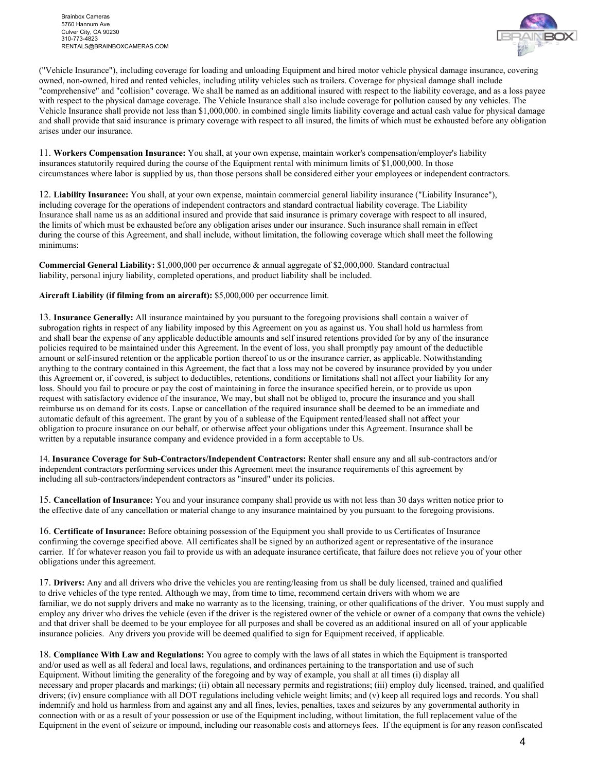

("Vehicle Insurance"), including coverage for loading and unloading Equipment and hired motor vehicle physical damage insurance, covering owned, non-owned, hired and rented vehicles, including utility vehicles such as trailers. Coverage for physical damage shall include "comprehensive" and "collision" coverage. We shall be named as an additional insured with respect to the liability coverage, and as a loss payee with respect to the physical damage coverage. The Vehicle Insurance shall also include coverage for pollution caused by any vehicles. The Vehicle Insurance shall provide not less than \$1,000,000. in combined single limits liability coverage and actual cash value for physical damage and shall provide that said insurance is primary coverage with respect to all insured, the limits of which must be exhausted before any obligation arises under our insurance.

11. **Workers Compensation Insurance:** You shall, at your own expense, maintain worker's compensation/employer's liability insurances statutorily required during the course of the Equipment rental with minimum limits of \$1,000,000. In those circumstances where labor is supplied by us, than those persons shall be considered either your employees or independent contractors.

12. **Liability Insurance:** You shall, at your own expense, maintain commercial general liability insurance ("Liability Insurance"), including coverage for the operations of independent contractors and standard contractual liability coverage. The Liability Insurance shall name us as an additional insured and provide that said insurance is primary coverage with respect to all insured, the limits of which must be exhausted before any obligation arises under our insurance. Such insurance shall remain in effect during the course of this Agreement, and shall include, without limitation, the following coverage which shall meet the following minimums:

**Commercial General Liability:** \$1,000,000 per occurrence & annual aggregate of \$2,000,000. Standard contractual liability, personal injury liability, completed operations, and product liability shall be included.

**Aircraft Liability (if filming from an aircraft):** \$5,000,000 per occurrence limit.

13. **Insurance Generally:** All insurance maintained by you pursuant to the foregoing provisions shall contain a waiver of subrogation rights in respect of any liability imposed by this Agreement on you as against us. You shall hold us harmless from and shall bear the expense of any applicable deductible amounts and self insured retentions provided for by any of the insurance policies required to be maintained under this Agreement. In the event of loss, you shall promptly pay amount of the deductible amount or self-insured retention or the applicable portion thereof to us or the insurance carrier, as applicable. Notwithstanding anything to the contrary contained in this Agreement, the fact that a loss may not be covered by insurance provided by you under this Agreement or, if covered, is subject to deductibles, retentions, conditions or limitations shall not affect your liability for any loss. Should you fail to procure or pay the cost of maintaining in force the insurance specified herein, or to provide us upon request with satisfactory evidence of the insurance, We may, but shall not be obliged to, procure the insurance and you shall reimburse us on demand for its costs. Lapse or cancellation of the required insurance shall be deemed to be an immediate and automatic default of this agreement. The grant by you of a sublease of the Equipment rented/leased shall not affect your obligation to procure insurance on our behalf, or otherwise affect your obligations under this Agreement. Insurance shall be written by a reputable insurance company and evidence provided in a form acceptable to Us.

14. **Insurance Coverage for Sub-Contractors/Independent Contractors:** Renter shall ensure any and all sub-contractors and/or independent contractors performing services under this Agreement meet the insurance requirements of this agreement by including all sub-contractors/independent contractors as "insured" under its policies.

15. **Cancellation of Insurance:** You and your insurance company shall provide us with not less than 30 days written notice prior to the effective date of any cancellation or material change to any insurance maintained by you pursuant to the foregoing provisions.

16. **Certificate of Insurance:** Before obtaining possession of the Equipment you shall provide to us Certificates of Insurance confirming the coverage specified above. All certificates shall be signed by an authorized agent or representative of the insurance carrier. If for whatever reason you fail to provide us with an adequate insurance certificate, that failure does not relieve you of your other obligations under this agreement.

17. **Drivers:** Any and all drivers who drive the vehicles you are renting/leasing from us shall be duly licensed, trained and qualified to drive vehicles of the type rented. Although we may, from time to time, recommend certain drivers with whom we are familiar, we do not supply drivers and make no warranty as to the licensing, training, or other qualifications of the driver. You must supply and employ any driver who drives the vehicle (even if the driver is the registered owner of the vehicle or owner of a company that owns the vehicle) and that driver shall be deemed to be your employee for all purposes and shall be covered as an additional insured on all of your applicable insurance policies. Any drivers you provide will be deemed qualified to sign for Equipment received, if applicable.

18. **Compliance With Law and Regulations:** You agree to comply with the laws of all states in which the Equipment is transported and/or used as well as all federal and local laws, regulations, and ordinances pertaining to the transportation and use of such Equipment. Without limiting the generality of the foregoing and by way of example, you shall at all times (i) display all necessary and proper placards and markings; (ii) obtain all necessary permits and registrations; (iii) employ duly licensed, trained, and qualified drivers; (iv) ensure compliance with all DOT regulations including vehicle weight limits; and (v) keep all required logs and records. You shall indemnify and hold us harmless from and against any and all fines, levies, penalties, taxes and seizures by any governmental authority in connection with or as a result of your possession or use of the Equipment including, without limitation, the full replacement value of the Equipment in the event of seizure or impound, including our reasonable costs and attorneys fees. If the equipment is for any reason confiscated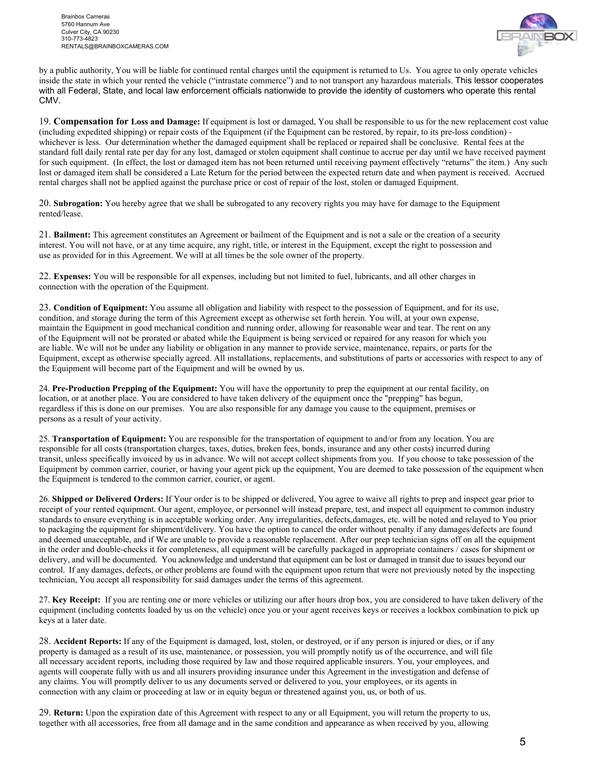

by a public authority, You will be liable for continued rental charges until the equipment is returned to Us. You agree to only operate vehicles inside the state in which your rented the vehicle ("intrastate commerce") and to not transport any hazardous materials. This lessor cooperates with all Federal, State, and local law enforcement officials nationwide to provide the identity of customers who operate this rental CMV.

19. **Compensation for Loss and Damage:** If equipment is lost or damaged, You shall be responsible to us for the new replacement cost value (including expedited shipping) or repair costs of the Equipment (if the Equipment can be restored, by repair, to its pre-loss condition) whichever is less. Our determination whether the damaged equipment shall be replaced or repaired shall be conclusive. Rental fees at the standard full daily rental rate per day for any lost, damaged or stolen equipment shall continue to accrue per day until we have received payment for such equipment. (In effect, the lost or damaged item has not been returned until receiving payment effectively "returns" the item.) Any such lost or damaged item shall be considered a Late Return for the period between the expected return date and when payment is received. Accrued rental charges shall not be applied against the purchase price or cost of repair of the lost, stolen or damaged Equipment.

20. **Subrogation:** You hereby agree that we shall be subrogated to any recovery rights you may have for damage to the Equipment rented/lease.

21. **Bailment:** This agreement constitutes an Agreement or bailment of the Equipment and is not a sale or the creation of a security interest. You will not have, or at any time acquire, any right, title, or interest in the Equipment, except the right to possession and use as provided for in this Agreement. We will at all times be the sole owner of the property.

22. **Expenses:** You will be responsible for all expenses, including but not limited to fuel, lubricants, and all other charges in connection with the operation of the Equipment.

23. **Condition of Equipment:** You assume all obligation and liability with respect to the possession of Equipment, and for its use, condition, and storage during the term of this Agreement except as otherwise set forth herein. You will, at your own expense, maintain the Equipment in good mechanical condition and running order, allowing for reasonable wear and tear. The rent on any of the Equipment will not be prorated or abated while the Equipment is being serviced or repaired for any reason for which you are liable. We will not be under any liability or obligation in any manner to provide service, maintenance, repairs, or parts for the Equipment, except as otherwise specially agreed. All installations, replacements, and substitutions of parts or accessories with respect to any of the Equipment will become part of the Equipment and will be owned by us.

24. **Pre-Production Prepping of the Equipment:** You will have the opportunity to prep the equipment at our rental facility, on location, or at another place. You are considered to have taken delivery of the equipment once the "prepping" has begun, regardless if this is done on our premises. You are also responsible for any damage you cause to the equipment, premises or persons as a result of your activity.

25. **Transportation of Equipment:** You are responsible for the transportation of equipment to and/or from any location. You are responsible for all costs (transportation charges, taxes, duties, broken fees, bonds, insurance and any other costs) incurred during transit, unless specifically invoiced by us in advance. We will not accept collect shipments from you. If you choose to take possession of the Equipment by common carrier, courier, or having your agent pick up the equipment, You are deemed to take possession of the equipment when the Equipment is tendered to the common carrier, courier, or agent.

26. **Shipped or Delivered Orders:** If Your order is to be shipped or delivered, You agree to waive all rights to prep and inspect gear prior to receipt of your rented equipment. Our agent, employee, or personnel will instead prepare, test, and inspect all equipment to common industry standards to ensure everything is in acceptable working order. Any irregularities, defects, damages, etc. will be noted and relayed to You prior to packaging the equipment for shipment/delivery. You have the option to cancel the order without penalty if any damages/defects are found and deemed unacceptable, and if We are unable to provide a reasonable replacement. After our prep technician signs off on all the equipment in the order and double-checks it for completeness, all equipment will be carefully packaged in appropriate containers / cases for shipment or delivery, and will be documented. You acknowledge and understand that equipment can be lost or damaged in transit due to issues beyond our control. If any damages, defects, or other problems are found with the equipment upon return that were not previously noted by the inspecting technician, You accept all responsibility for said damages under the terms of this agreement.

27. **Key Receipt:** If you are renting one or more vehicles or utilizing our after hours drop box, you are considered to have taken delivery of the equipment (including contents loaded by us on the vehicle) once you or your agent receives keys or receives a lockbox combination to pick up keys at a later date.

28. **Accident Reports:** If any of the Equipment is damaged, lost, stolen, or destroyed, or if any person is injured or dies, or if any property is damaged as a result of its use, maintenance, or possession, you will promptly notify us of the occurrence, and will file all necessary accident reports, including those required by law and those required applicable insurers. You, your employees, and agents will cooperate fully with us and all insurers providing insurance under this Agreement in the investigation and defense of any claims. You will promptly deliver to us any documents served or delivered to you, your employees, or its agents in connection with any claim or proceeding at law or in equity begun or threatened against you, us, or both of us.

29. **Return:** Upon the expiration date of this Agreement with respect to any or all Equipment, you will return the property to us, together with all accessories, free from all damage and in the same condition and appearance as when received by you, allowing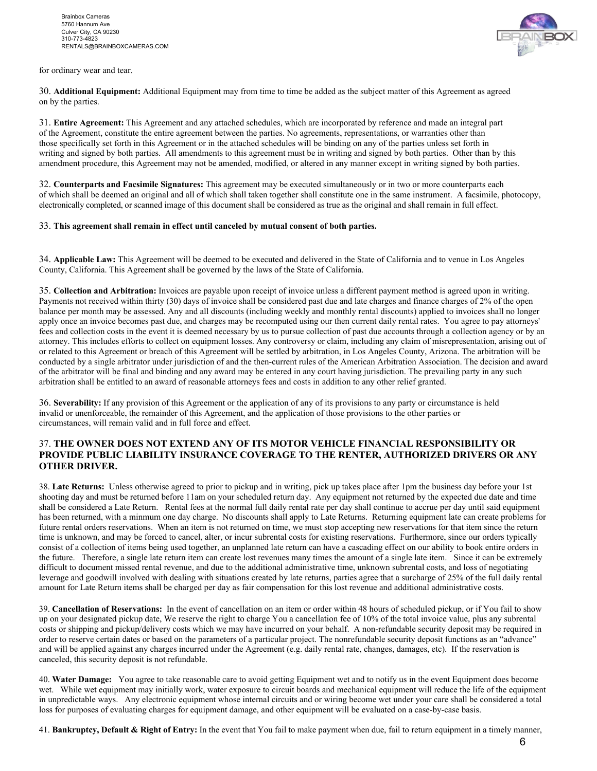



30. **Additional Equipment:** Additional Equipment may from time to time be added as the subject matter of this Agreement as agreed on by the parties.

31. **Entire Agreement:** This Agreement and any attached schedules, which are incorporated by reference and made an integral part of the Agreement, constitute the entire agreement between the parties. No agreements, representations, or warranties other than those specifically set forth in this Agreement or in the attached schedules will be binding on any of the parties unless set forth in writing and signed by both parties. All amendments to this agreement must be in writing and signed by both parties. Other than by this amendment procedure, this Agreement may not be amended, modified, or altered in any manner except in writing signed by both parties.

32. **Counterparts and Facsimile Signatures:** This agreement may be executed simultaneously or in two or more counterparts each of which shall be deemed an original and all of which shall taken together shall constitute one in the same instrument. A facsimile, photocopy, electronically completed, or scanned image of this document shall be considered as true as the original and shall remain in full effect.

#### 33. **This agreement shall remain in effect until canceled by mutual consent of both parties.**

34. **Applicable Law:** This Agreement will be deemed to be executed and delivered in the State of California and to venue in Los Angeles County, California. This Agreement shall be governed by the laws of the State of California.

35. **Collection and Arbitration:** Invoices are payable upon receipt of invoice unless a different payment method is agreed upon in writing. Payments not received within thirty (30) days of invoice shall be considered past due and late charges and finance charges of 2% of the open balance per month may be assessed. Any and all discounts (including weekly and monthly rental discounts) applied to invoices shall no longer apply once an invoice becomes past due, and charges may be recomputed using our then current daily rental rates. You agree to pay attorneys' fees and collection costs in the event it is deemed necessary by us to pursue collection of past due accounts through a collection agency or by an attorney. This includes efforts to collect on equipment losses. Any controversy or claim, including any claim of misrepresentation, arising out of or related to this Agreement or breach of this Agreement will be settled by arbitration, in Los Angeles County, Arizona. The arbitration will be conducted by a single arbitrator under jurisdiction of and the then-current rules of the American Arbitration Association. The decision and award of the arbitrator will be final and binding and any award may be entered in any court having jurisdiction. The prevailing party in any such arbitration shall be entitled to an award of reasonable attorneys fees and costs in addition to any other relief granted.

36. **Severability:** If any provision of this Agreement or the application of any of its provisions to any party or circumstance is held invalid or unenforceable, the remainder of this Agreement, and the application of those provisions to the other parties or circumstances, will remain valid and in full force and effect.

#### 37. **THE OWNER DOES NOT EXTEND ANY OF ITS MOTOR VEHICLE FINANCIAL RESPONSIBILITY OR PROVIDE PUBLIC LIABILITY INSURANCE COVERAGE TO THE RENTER, AUTHORIZED DRIVERS OR ANY OTHER DRIVER.**

38. **Late Returns:** Unless otherwise agreed to prior to pickup and in writing, pick up takes place after 1pm the business day before your 1st shooting day and must be returned before 11am on your scheduled return day. Any equipment not returned by the expected due date and time shall be considered a Late Return. Rental fees at the normal full daily rental rate per day shall continue to accrue per day until said equipment has been returned, with a minmum one day charge. No discounts shall apply to Late Returns. Returning equipment late can create problems for future rental orders reservations. When an item is not returned on time, we must stop accepting new reservations for that item since the return time is unknown, and may be forced to cancel, alter, or incur subrental costs for existing reservations. Furthermore, since our orders typically consist of a collection of items being used together, an unplanned late return can have a cascading effect on our ability to book entire orders in the future. Therefore, a single late return item can create lost revenues many times the amount of a single late item. Since it can be extremely difficult to document missed rental revenue, and due to the additional administrative time, unknown subrental costs, and loss of negotiating leverage and goodwill involved with dealing with situations created by late returns, parties agree that a surcharge of 25% of the full daily rental amount for Late Return items shall be charged per day as fair compensation for this lost revenue and additional administrative costs.

39. **Cancellation of Reservations:** In the event of cancellation on an item or order within 48 hours of scheduled pickup, or if You fail to show up on your designated pickup date, We reserve the right to charge You a cancellation fee of 10% of the total invoice value, plus any subrental costs or shipping and pickup/delivery costs which we may have incurred on your behalf. A non-refundable security deposit may be required in order to reserve certain dates or based on the parameters of a particular project. The nonrefundable security deposit functions as an "advance" and will be applied against any charges incurred under the Agreement (e.g. daily rental rate, changes, damages, etc). If the reservation is canceled, this security deposit is not refundable.

40. **Water Damage:** You agree to take reasonable care to avoid getting Equipment wet and to notify us in the event Equipment does become wet. While wet equipment may initially work, water exposure to circuit boards and mechanical equipment will reduce the life of the equipment in unpredictable ways.Any electronic equipment whose internal circuits and or wiring become wet under your care shall be considered a total loss for purposes of evaluating charges for equipment damage, and other equipment will be evaluated on a case-by-case basis.

41. **Bankruptcy, Default & Right of Entry:** In the event that You fail to make payment when due, fail to return equipment in a timely manner,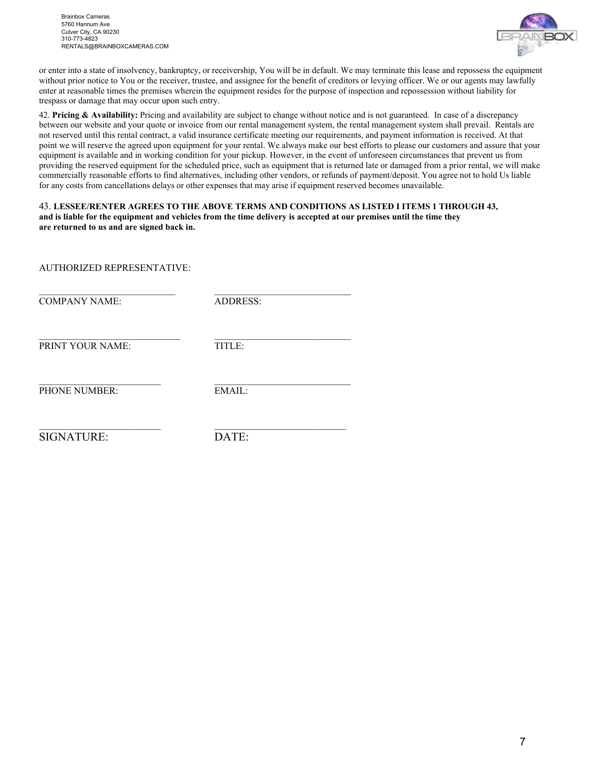

or enter into a state of insolvency, bankruptcy, or receivership, You will be in default. We may terminate this lease and repossess the equipment without prior notice to You or the receiver, trustee, and assignee for the benefit of creditors or levying officer. We or our agents may lawfully enter at reasonable times the premises wherein the equipment resides for the purpose of inspection and repossession without liability for trespass or damage that may occur upon such entry.

42. **Pricing & Availability:** Pricing and availability are subject to change without notice and is not guaranteed. In case of a discrepancy between our website and your quote or invoice from our rental management system, the rental management system shall prevail. Rentals are not reserved until this rental contract, a valid insurance certificate meeting our requirements, and payment information is received. At that point we will reserve the agreed upon equipment for your rental. We always make our best efforts to please our customers and assure that your equipment is available and in working condition for your pickup. However, in the event of unforeseen circumstances that prevent us from providing the reserved equipment for the scheduled price, such as equipment that is returned late or damaged from a prior rental, we will make commercially reasonable efforts to find alternatives, including other vendors, or refunds of payment/deposit. You agree not to hold Us liable for any costs from cancellations delays or other expenses that may arise if equipment reserved becomes unavailable.

43. **LESSEE/RENTER AGREES TO THE ABOVE TERMS AND CONDITIONS AS LISTED I ITEMS 1 THROUGH 43, and is liable for the equipment and vehicles from the time delivery is accepted at our premises until the time they are returned to us and are signed back in.**

AUTHORIZED REPRESENTATIVE:

COMPANY NAME: ADDRESS:

\_\_\_\_\_\_\_\_\_\_\_\_\_\_\_\_\_\_\_\_\_\_\_\_\_\_\_\_ \_\_\_\_\_\_\_\_\_\_\_\_\_\_\_\_\_\_\_\_\_\_\_\_\_\_\_\_

PRINT YOUR NAME: TITLE:

PHONE NUMBER: EMAIL:

 $\_$  , and the set of the set of the set of the set of the set of the set of the set of the set of the set of the set of the set of the set of the set of the set of the set of the set of the set of the set of the set of th

 $\_$  , and the set of the set of the set of the set of the set of the set of the set of the set of the set of the set of the set of the set of the set of the set of the set of the set of the set of the set of the set of th

\_\_\_\_\_\_\_\_\_\_\_\_\_\_\_\_\_\_\_\_\_\_\_\_\_ \_\_\_\_\_\_\_\_\_\_\_\_\_\_\_\_\_\_\_\_\_\_\_\_\_\_\_

SIGNATURE: DATE: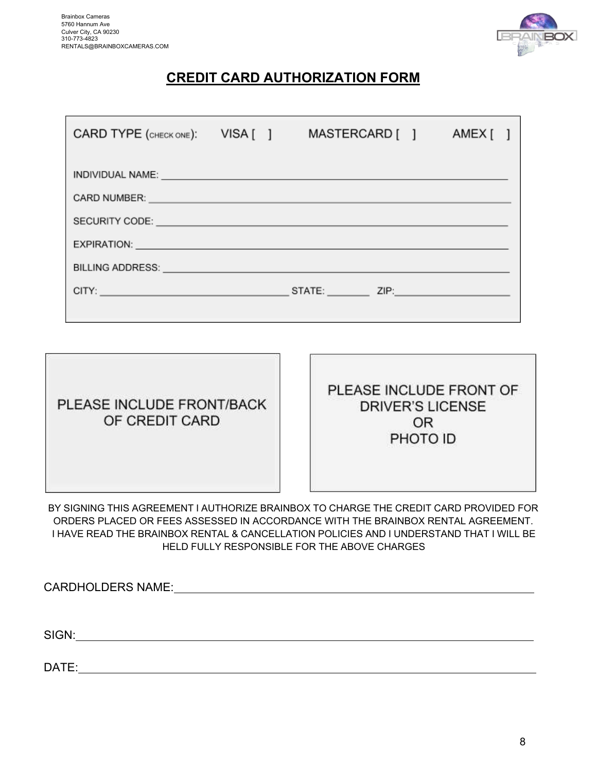

## **CREDIT CARD AUTHORIZATION FORM**

| CARD TYPE (CHECK ONE): VISA []                                                                                 |  | MASTERCARD [ ] | AMEX[] |  |
|----------------------------------------------------------------------------------------------------------------|--|----------------|--------|--|
| INDIVIDUAL NAME: UNIVERSITY OF A SERVICE OF A SERVICE OF A SERVICE OF A SERVICE OF A SERVICE OF A SERVICE OF A |  |                |        |  |
|                                                                                                                |  |                |        |  |
|                                                                                                                |  |                |        |  |
|                                                                                                                |  |                |        |  |
|                                                                                                                |  |                |        |  |
|                                                                                                                |  |                |        |  |
|                                                                                                                |  |                |        |  |

| PLEASE INCLUDE FRONT/BACK<br>OF CREDIT CARD |  |
|---------------------------------------------|--|
|                                             |  |

PLEASE INCLUDE FRONT OF **DRIVER'S LICENSE OR** PHOTO ID

BY SIGNING THIS AGREEMENT I AUTHORIZE BRAINBOX TO CHARGE THE CREDIT CARD PROVIDED FOR ORDERS PLACED OR FEES ASSESSED IN ACCORDANCE WITH THE BRAINBOX RENTAL AGREEMENT. I HAVE READ THE BRAINBOX RENTAL & CANCELLATION POLICIES AND I UNDERSTAND THAT I WILL BE HELD FULLY RESPONSIBLE FOR THE ABOVE CHARGES

CARDHOLDERS NAME: SIGN:

DATE: